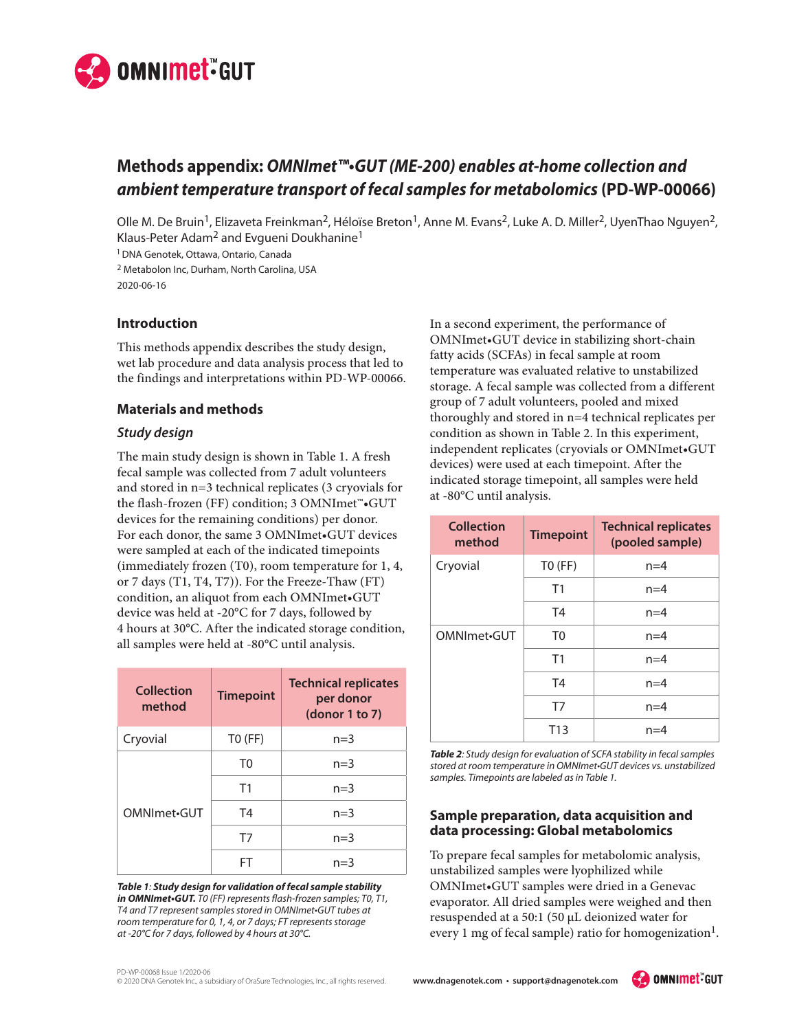

# **Methods appendix:** *OMNImet™•GUT (ME-200) enables at-home collection and ambient temperature transport of fecal samples for metabolomics* **(PD-WP-00066)**

Olle M. De Bruin<sup>1</sup>, Elizaveta Freinkman<sup>2</sup>, Héloïse Breton<sup>1</sup>, Anne M. Evans<sup>2</sup>, Luke A. D. Miller<sup>2</sup>, UyenThao Nguyen<sup>2</sup>, Klaus-Peter Adam2 and Evgueni Doukhanine1

1 DNA Genotek, Ottawa, Ontario, Canada

2 Metabolon Inc, Durham, North Carolina, USA 2020-06-16

### **Introduction**

This methods appendix describes the study design, wet lab procedure and data analysis process that led to the findings and interpretations within PD-WP-00066.

# **Materials and methods**

### *Study design*

The main study design is shown in Table 1. A fresh fecal sample was collected from 7 adult volunteers and stored in n=3 technical replicates (3 cryovials for the flash-frozen (FF) condition; 3 OMNImet™•GUT devices for the remaining conditions) per donor. For each donor, the same 3 OMNImet•GUT devices were sampled at each of the indicated timepoints (immediately frozen (T0), room temperature for 1, 4, or 7 days (T1, T4, T7)). For the Freeze-Thaw (FT) condition, an aliquot from each OMNImet•GUT device was held at -20°C for 7 days, followed by 4 hours at 30°C. After the indicated storage condition, all samples were held at -80°C until analysis.

| Collection<br>method | <b>Timepoint</b> | <b>Technical replicates</b><br>per donor<br>$\frac{1}{2}$ (donor 1 to 7) |
|----------------------|------------------|--------------------------------------------------------------------------|
| Cryovial             | $TO$ (FF)        | $n=3$                                                                    |
| OMNImet.GUT          | T <sub>0</sub>   | $n=3$                                                                    |
|                      | T1               | $n=3$                                                                    |
|                      | T4               | $n=3$                                                                    |
|                      | T7               | $n=3$                                                                    |
|                      | ΗI               | $n = 3$                                                                  |

*Table 1: Study design for validation of fecal sample stability in OMNImet•GUT. T0 (FF) represents flash-frozen samples; T0, T1, T4 and T7 represent samples stored in OMNImet•GUT tubes at room temperature for 0, 1, 4, or 7 days; FT represents storage at -20°C for 7 days, followed by 4 hours at 30°C.*

In a second experiment, the performance of OMNImet•GUT device in stabilizing short-chain fatty acids (SCFAs) in fecal sample at room temperature was evaluated relative to unstabilized storage. A fecal sample was collected from a different group of 7 adult volunteers, pooled and mixed thoroughly and stored in n=4 technical replicates per condition as shown in Table 2. In this experiment, independent replicates (cryovials or OMNImet•GUT devices) were used at each timepoint. After the indicated storage timepoint, all samples were held at -80°C until analysis.

| <b>Collection</b><br>method | <b>Timepoint</b> | <b>Technical replicates</b><br>(pooled sample) |
|-----------------------------|------------------|------------------------------------------------|
| Cryovial                    | $TO$ (FF)        | $n=4$                                          |
|                             | T1               | $n=4$                                          |
|                             | T4               | $n=4$                                          |
| OMNImet <sub>•GUT</sub>     | T <sub>0</sub>   | $n=4$                                          |
|                             | T <sub>1</sub>   | $n=4$                                          |
|                             | T <sub>4</sub>   | $n=4$                                          |
|                             | T7               | $n=4$                                          |
|                             | T <sub>13</sub>  | $n=4$                                          |

*Table 2: Study design for evaluation of SCFA stability in fecal samples stored at room temperature in OMNImet•GUT devices vs. unstabilized samples. Timepoints are labeled as in Table 1.*

# **Sample preparation, data acquisition and data processing: Global metabolomics**

To prepare fecal samples for metabolomic analysis, unstabilized samples were lyophilized while OMNImet•GUT samples were dried in a Genevac evaporator. All dried samples were weighed and then resuspended at a 50:1 (50 μL deionized water for every 1 mg of fecal sample) ratio for homogenization<sup>1</sup>.